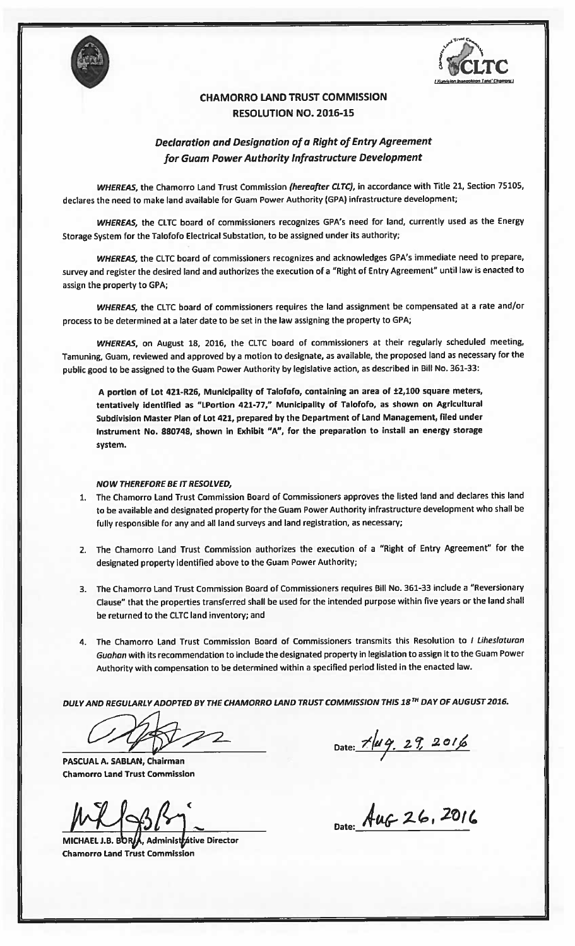



## CHAMORRO LAND TRUST COMMISSION RESOLUTION NO. 2016-15

## Declaration and Designation of a Right of Entry Agreement for Guam Power Authority Infrastructure Development

WHEREAS, the Chamorro Land Trust Commission (hereafter CLTC), in accordance with Title 21, Section 75105, declares the need to make land available for Guam Power Authority (CPA) infrastructure development;

WHEREAS, the CLTC board of commissioners recognizes GPA's need for land, currently used as the Energy Storage System for the Talofofo Electrical Substation, to be assigned under its authority;

WHEREAS, the CLTC board of commissioners recognizes and acknowledges CPA's immediate need to prepare, survey and register the desired land and authorizes the execution of <sup>a</sup> "Right of Entry Agreement" until law is enacted to assign the property to GPA;

WHEREAS, the CLTC board of commissioners requires the land assignment be compensated at a rate and/or process to be determined at a later date to be set in the law assigning the property to GPA;

WHEREAS, on August 18, 2016, the CLTC board of commissioners at their regularly scheduled meeting, Tamuning, Guam, reviewed and approved by <sup>a</sup> motion to designate, as available, the proposed land as necessary for the public good to be assigned to the Guam Power Authority by legislative action, as described in Bill No.361-33:

A portion of Lot 421-R26, Municipality of Talofofo, containing an area of ±2,100 square meters, tentatively identified as "LPortion 421-77," Municipality of Talofofo, as shown on Agricultural Subdivision Master Plan of Lot 421, prepared by the Department of Land Management, filed under Instrument No. 880748, shown in Exhibit "A", for the preparation to install an energy storage system.

## NOW THEREFORE BE IT RESOLVED,

- 1. The Chamorro Land Trust Commission Board of Commissioners approves the listed land and declares this land to be available and designated property for the Guam Power Authority infrastructure development who shall be fully responsible for any and all land surveys and land registration, as necessary;
- 2. The Chamorro Land Trust Commission authorizes the execution of <sup>a</sup> "Right of Entry Agreement" for the designated property identified above to the Guam Power Authority;
- 3. The Chamorro Land Trust Commission Board of Commissioners requires Bill No. 361-33 include <sup>a</sup> "Reversionary Clause" that the properties transferred shall be used for the intended purpose within five years or the land shall be returned to the CLTC land inventory; and
- 4. The Chamorro Land Trust Commission Board of Commissioners transmits this Resolution to I Liheslaturan Guahan with its recommendation to include the designated property in legislation to assign it to the Guam Power Authority with compensation to be determined within <sup>a</sup> specified period listed in the enacted law.

DULYAND REGULARLY ADOPTED BY THE CHAMORRO LAND TRUST COMMISSION THIS 18TH DAY OFAUGUST 2016.

 $22$ 

PASCUAL A. SABLAN, Chairman Chamorro land Trust Commission

MICHAEL J.B. BOR/A, Administrative Director Chamorro Land Trust Commission

Date:  $7 \mu 9.27.2016$ 

 $M \lesssim 36$ <br>Date:  $A uG 26$ , 2016